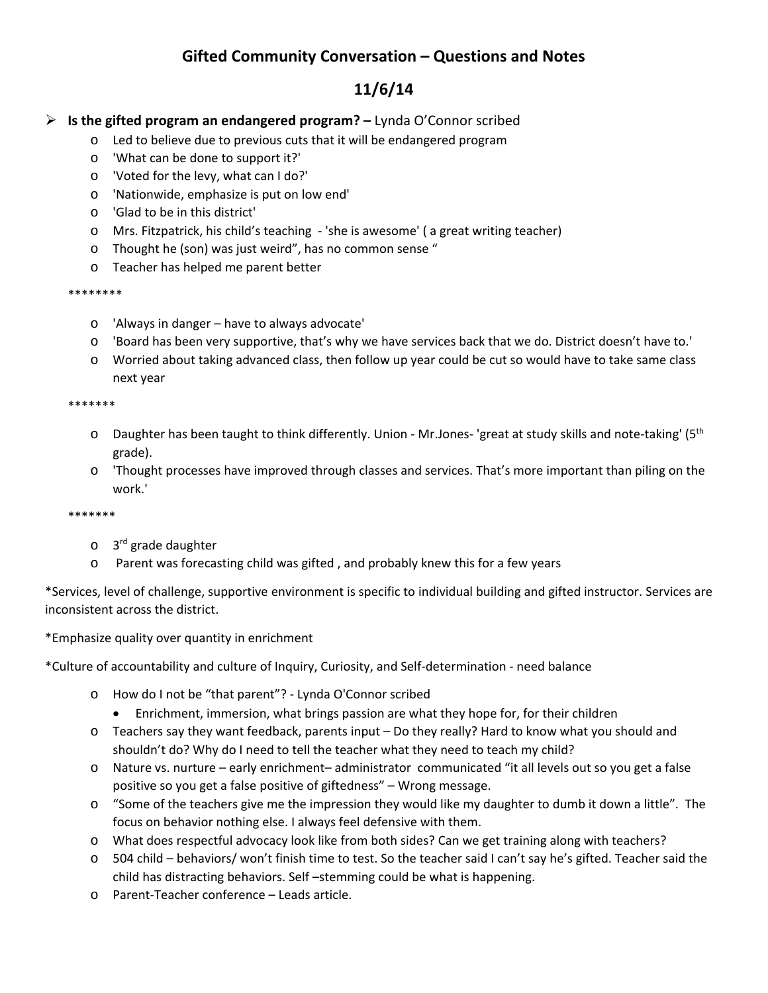# **Gifted Community Conversation – Questions and Notes**

# **11/6/14**

# **Is the gifted program an endangered program? –** Lynda O'Connor scribed

- o Led to believe due to previous cuts that it will be endangered program
- o 'What can be done to support it?'
- o 'Voted for the levy, what can I do?'
- o 'Nationwide, emphasize is put on low end'
- o 'Glad to be in this district'
- o Mrs. Fitzpatrick, his child's teaching ‐ 'she is awesome' ( a great writing teacher)
- o Thought he (son) was just weird", has no common sense "
- o Teacher has helped me parent better

#### \*\*\*\*\*\*\*\*

- o 'Always in danger have to always advocate'
- o 'Board has been very supportive, that's why we have services back that we do. District doesn't have to.'
- o Worried about taking advanced class, then follow up year could be cut so would have to take same class next year

#### \*\*\*\*\*\*\*

- o Daughter has been taught to think differently. Union Mr.Jones- 'great at study skills and note-taking' (5<sup>th</sup> grade).
- o 'Thought processes have improved through classes and services. That's more important than piling on the work.'

#### \*\*\*\*\*\*\*

- o 3rd grade daughter
- o Parent was forecasting child was gifted , and probably knew this for a few years

\*Services, level of challenge, supportive environment is specific to individual building and gifted instructor. Services are inconsistent across the district.

### \*Emphasize quality over quantity in enrichment

\*Culture of accountability and culture of Inquiry, Curiosity, and Self‐determination ‐ need balance

- o How do I not be "that parent"? ‐ Lynda O'Connor scribed
	- Enrichment, immersion, what brings passion are what they hope for, for their children
- o Teachers say they want feedback, parents input Do they really? Hard to know what you should and shouldn't do? Why do I need to tell the teacher what they need to teach my child?
- o Nature vs. nurture early enrichment– administrator communicated "it all levels out so you get a false positive so you get a false positive of giftedness" – Wrong message.
- $\circ$  "Some of the teachers give me the impression they would like my daughter to dumb it down a little". The focus on behavior nothing else. I always feel defensive with them.
- o What does respectful advocacy look like from both sides? Can we get training along with teachers?
- o 504 child behaviors/ won't finish time to test. So the teacher said I can't say he's gifted. Teacher said the child has distracting behaviors. Self –stemming could be what is happening.
- o Parent‐Teacher conference Leads article.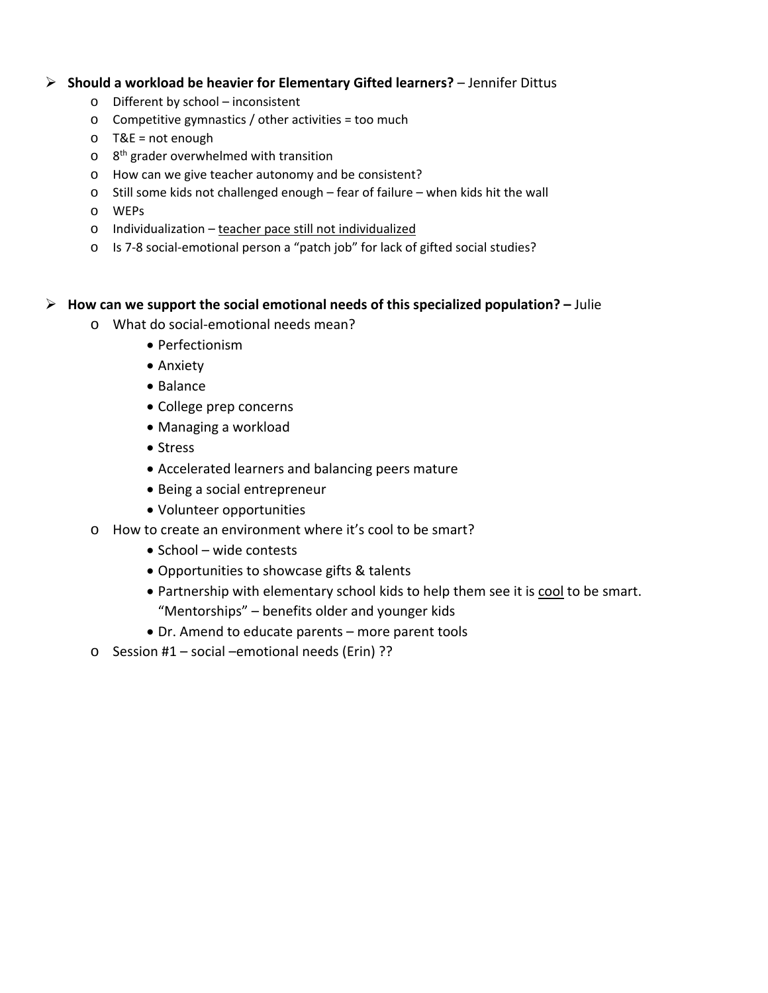### **Should a workload be heavier for Elementary Gifted learners?** – Jennifer Dittus

- o Different by school inconsistent
- o Competitive gymnastics / other activities = too much
- o T&E = not enough
- $o$  8<sup>th</sup> grader overwhelmed with transition
- o How can we give teacher autonomy and be consistent?
- o Still some kids not challenged enough fear of failure when kids hit the wall
- o WEPs
- o Individualization teacher pace still not individualized
- o Is 7‐8 social‐emotional person a "patch job" for lack of gifted social studies?

#### **How can we support the social emotional needs of this specialized population? –** Julie

- o What do social‐emotional needs mean?
	- Perfectionism
	- Anxiety
	- Balance
	- College prep concerns
	- Managing a workload
	- Stress
	- Accelerated learners and balancing peers mature
	- Being a social entrepreneur
	- Volunteer opportunities
- o How to create an environment where it's cool to be smart?
	- School wide contests
	- Opportunities to showcase gifts & talents
	- Partnership with elementary school kids to help them see it is cool to be smart. "Mentorships" – benefits older and younger kids
	- Dr. Amend to educate parents more parent tools
- o Session #1 social –emotional needs (Erin) ??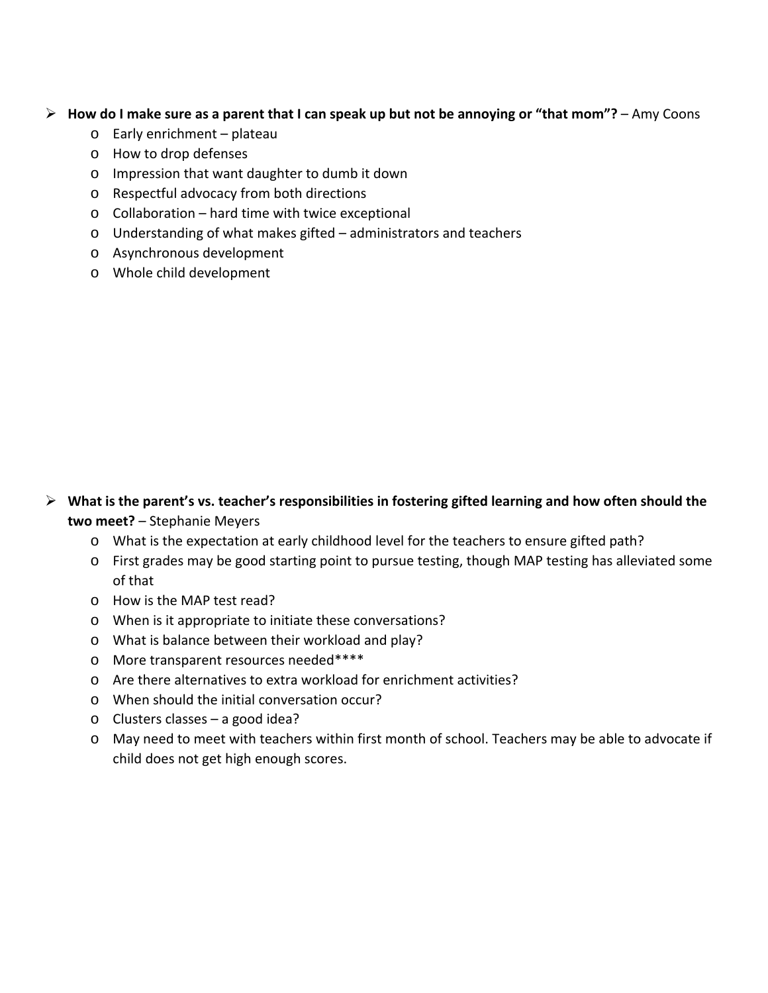### $\triangleright$  How do I make sure as a parent that I can speak up but not be annoying or "that mom"? - Amy Coons

- o Early enrichment plateau
- o How to drop defenses
- o Impression that want daughter to dumb it down
- o Respectful advocacy from both directions
- o Collaboration hard time with twice exceptional
- o Understanding of what makes gifted administrators and teachers
- o Asynchronous development
- o Whole child development

# **What is the parent's vs. teacher's responsibilities in fostering gifted learning and how often should the two meet?** – Stephanie Meyers

- o What is the expectation at early childhood level for the teachers to ensure gifted path?
- o First grades may be good starting point to pursue testing, though MAP testing has alleviated some of that
- o How is the MAP test read?
- o When is it appropriate to initiate these conversations?
- o What is balance between their workload and play?
- o More transparent resources needed\*\*\*\*
- o Are there alternatives to extra workload for enrichment activities?
- o When should the initial conversation occur?
- o Clusters classes a good idea?
- o May need to meet with teachers within first month of school. Teachers may be able to advocate if child does not get high enough scores.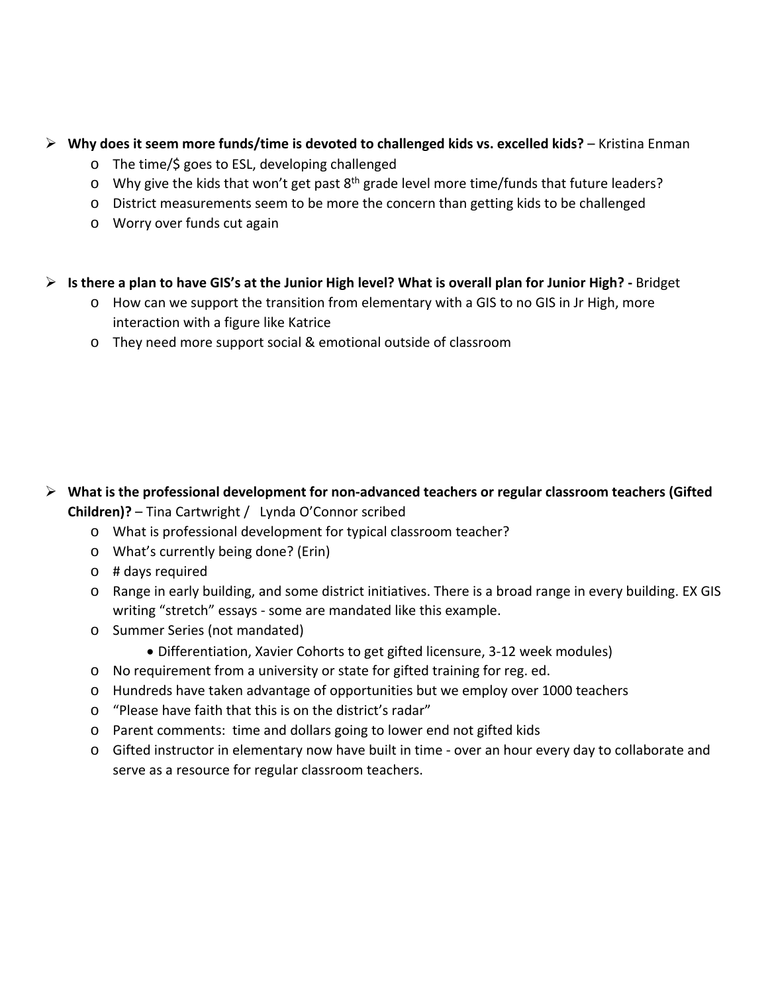## **Why does it seem more funds/time is devoted to challenged kids vs. excelled kids?** – Kristina Enman

- o The time/\$ goes to ESL, developing challenged
- $\circ$  Why give the kids that won't get past 8<sup>th</sup> grade level more time/funds that future leaders?
- o District measurements seem to be more the concern than getting kids to be challenged
- o Worry over funds cut again

# $\triangleright$  Is there a plan to have GIS's at the Junior High level? What is overall plan for Junior High? - Bridget

- o How can we support the transition from elementary with a GIS to no GIS in Jr High, more interaction with a figure like Katrice
- o They need more support social & emotional outside of classroom

# **What is the professional development for non‐advanced teachers or regular classroom teachers (Gifted Children)?** – Tina Cartwright / Lynda O'Connor scribed

- o What is professional development for typical classroom teacher?
- o What's currently being done? (Erin)
- o # days required
- o Range in early building, and some district initiatives. There is a broad range in every building. EX GIS writing "stretch" essays ‐ some are mandated like this example.
- o Summer Series (not mandated)
	- Differentiation, Xavier Cohorts to get gifted licensure, 3‐12 week modules)
- o No requirement from a university or state for gifted training for reg. ed.
- o Hundreds have taken advantage of opportunities but we employ over 1000 teachers
- o "Please have faith that this is on the district's radar"
- o Parent comments: time and dollars going to lower end not gifted kids
- o Gifted instructor in elementary now have built in time ‐ over an hour every day to collaborate and serve as a resource for regular classroom teachers.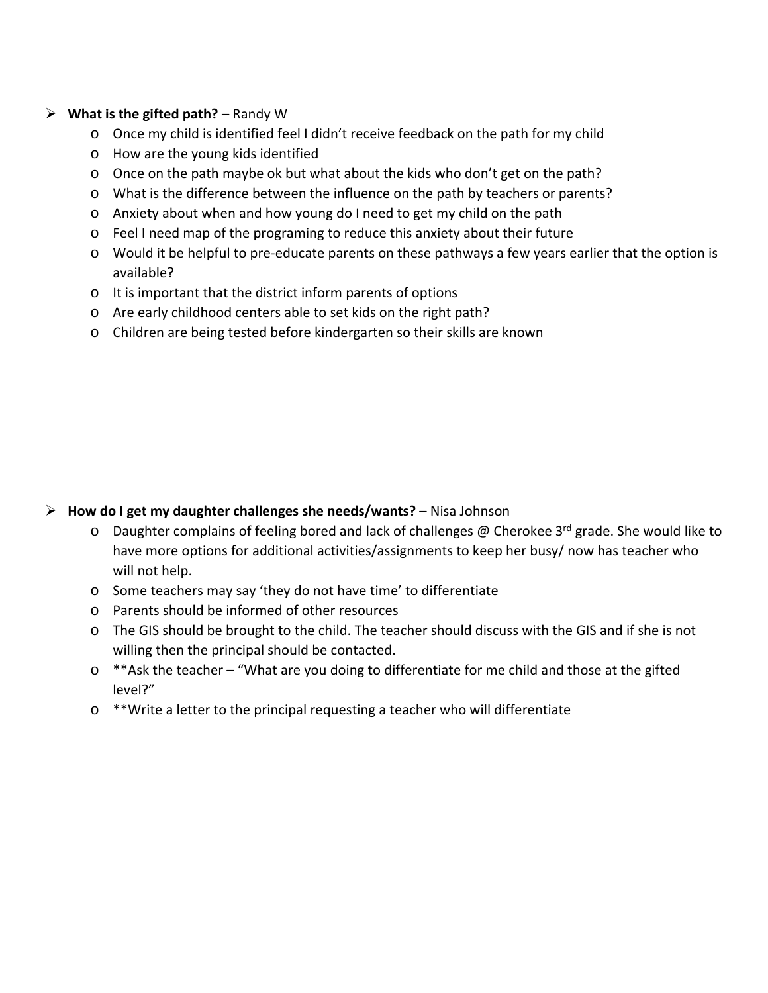## **What is the gifted path?** – Randy W

- o Once my child is identified feel I didn't receive feedback on the path for my child
- o How are the young kids identified
- $\circ$  Once on the path maybe ok but what about the kids who don't get on the path?
- o What is the difference between the influence on the path by teachers or parents?
- o Anxiety about when and how young do I need to get my child on the path
- o Feel I need map of the programing to reduce this anxiety about their future
- o Would it be helpful to pre‐educate parents on these pathways a few years earlier that the option is available?
- o It is important that the district inform parents of options
- o Are early childhood centers able to set kids on the right path?
- o Children are being tested before kindergarten so their skills are known

## **How do I get my daughter challenges she needs/wants?** – Nisa Johnson

- $\circ$  Daughter complains of feeling bored and lack of challenges @ Cherokee 3<sup>rd</sup> grade. She would like to have more options for additional activities/assignments to keep her busy/ now has teacher who will not help.
- o Some teachers may say 'they do not have time' to differentiate
- o Parents should be informed of other resources
- o The GIS should be brought to the child. The teacher should discuss with the GIS and if she is not willing then the principal should be contacted.
- o \*\*Ask the teacher "What are you doing to differentiate for me child and those at the gifted level?"
- o \*\*Write a letter to the principal requesting a teacher who will differentiate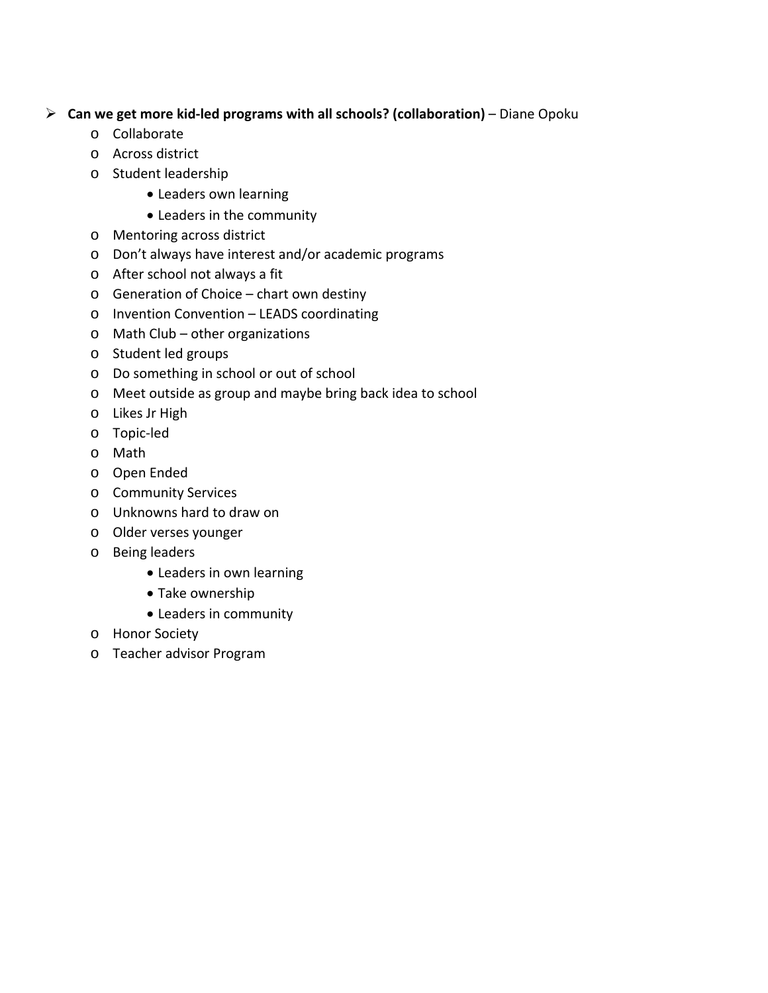# **Can we get more kid‐led programs with all schools? (collaboration)** – Diane Opoku

- o Collaborate
- o Across district
- o Student leadership
	- Leaders own learning
	- Leaders in the community
- o Mentoring across district
- o Don't always have interest and/or academic programs
- o After school not always a fit
- o Generation of Choice chart own destiny
- o Invention Convention LEADS coordinating
- o Math Club other organizations
- o Student led groups
- o Do something in school or out of school
- o Meet outside as group and maybe bring back idea to school
- o Likes Jr High
- o Topic‐led
- o Math
- o Open Ended
- o Community Services
- o Unknowns hard to draw on
- o Older verses younger
- o Being leaders
	- Leaders in own learning
	- Take ownership
	- Leaders in community
- o Honor Society
- o Teacher advisor Program